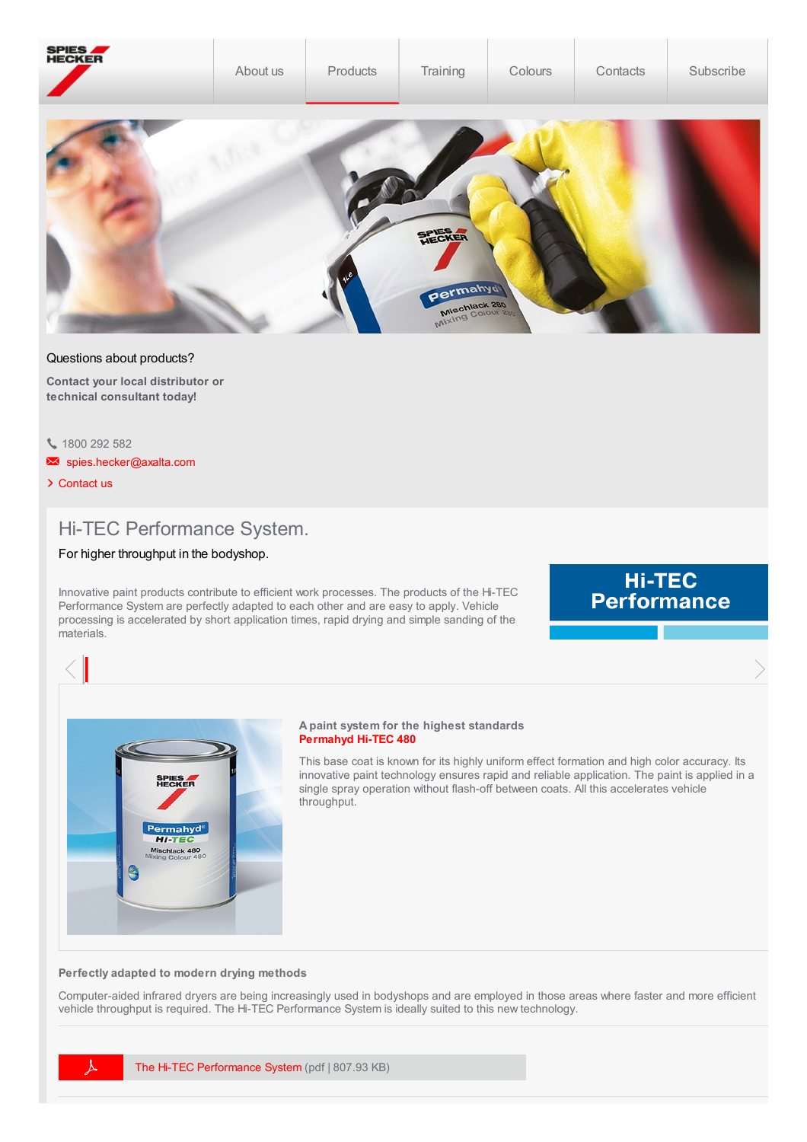| SPIES<br>HECKER | About us | Products | Training                              | Colours | Contacts | Subscribe |
|-----------------|----------|----------|---------------------------------------|---------|----------|-----------|
|                 |          |          | FIRECKER<br>Permanyd<br>Mischlack 280 |         |          |           |

## Questions about products?

**Contact your local distributor or technical consultant today!**

1800 292 582

- Som [spies.hecker@axalta.com](mailto:%0A%20%20%20%20%20%20%20%20%20%20%20%20%20%20%20%20%20%20%20%20spies.hecker@axalta.com%0A%20%20%20%20%20%20%20%20%20%20%20%20%20%20%20%20)
- > [Contact](http://localhost:4513/content/spieshecker_au/en_AU/contacts/company-contacts) us

# Hi-TEC Performance System.

# For higher throughput in the bodyshop.

Innovative paint products contribute to efficient work processes. The products of the Hi-TEC Performance System are perfectly adapted to each other and are easy to apply. Vehicle processing is accelerated by short application times, rapid drying and simple sanding of the materials.

# Hi-TEC<br>Performance

 $\langle \cdot |$  and the contract of the contract of the contract of the contract of the contract of the contract of the contract of the contract of the contract of the contract of the contract of the contract of the contract of t



#### **A paint system for the highest standards [Permahyd](http://localhost:4513/content/spieshecker_au/en_AU/products/passenger-cars/base-coats/480.html) Hi-TEC 480**

This base coat is known for its highly uniform effect formation and high color accuracy. Its innovative paint technology ensures rapid and reliable application. The paint is applied in a single spray operation without flash-off between coats. All this accelerates vehicle throughput.

### **Perfectly adapted to modern drying methods**

Computer-aided infrared dryers are being increasingly used in bodyshops and are employed in those areas where faster and more efficient vehicle throughput is required. The Hi-TEC Performance System is ideally suited to this new technology.